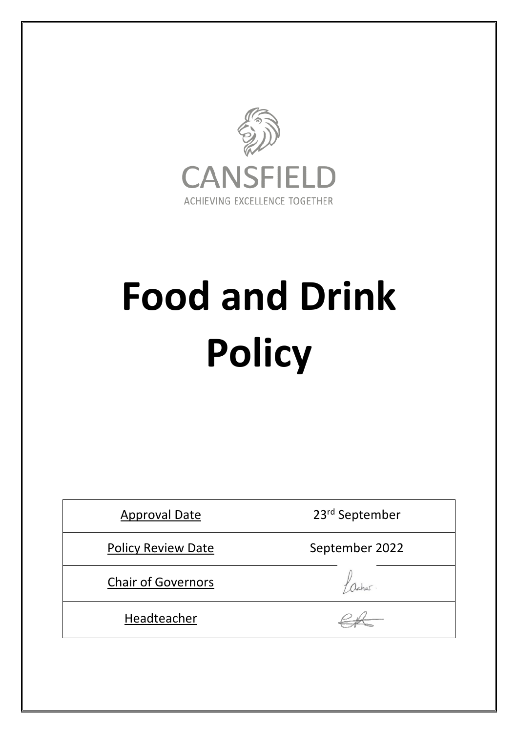

# **Food and Drink Policy**

| <b>Approval Date</b>      | 23rd September |
|---------------------------|----------------|
| <b>Policy Review Date</b> | September 2022 |
| <b>Chair of Governors</b> | acher          |
| Headteacher               |                |